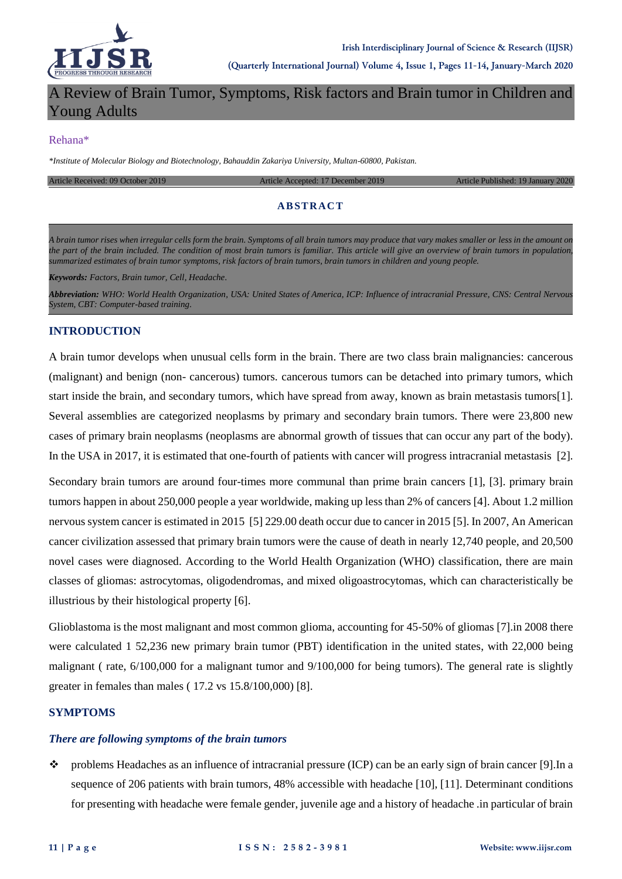

# A Review of Brain Tumor, Symptoms, Risk factors and Brain tumor in Children and Young Adults

#### Rehana\*

*\*Institute of Molecular Biology and Biotechnology, Bahauddin Zakariya University, Multan-60800, Pakistan.*

Article Received: 09 October 2019 Article Accepted: 17 December 2019 Article Published: 19 January 2020

### **ABSTRACT**

*A brain tumor rises when irregular cells form the brain. Symptoms of all brain tumors may produce that vary makes smaller or less in the amount on the part of the brain included. The condition of most brain tumors is familiar. This article will give an overview of brain tumors in population, summarized estimates of brain tumor symptoms, risk factors of brain tumors, brain tumors in children and young people.*

*Keywords: Factors, Brain tumor, Cell, Headache.*

*Abbreviation: WHO: World Health Organization, USA: United States of America, ICP: Influence of intracranial Pressure, CNS: Central Nervous System, CBT: Computer-based training.*

#### **INTRODUCTION**

A brain tumor develops when unusual cells form in the brain. There are two class brain malignancies: cancerous (malignant) and benign (non- cancerous) tumors. cancerous tumors can be detached into primary tumors, which start inside the brain, and secondary tumors, which have spread from away, known as brain metastasis tumors[1]. Several assemblies are categorized neoplasms by primary and secondary brain tumors. There were 23,800 new cases of primary brain neoplasms (neoplasms are abnormal growth of tissues that can occur any part of the body). In the USA in 2017, it is estimated that one-fourth of patients with cancer will progress intracranial metastasis [2].

Secondary brain tumors are around four-times more communal than prime brain cancers [1], [3]. primary brain tumors happen in about 250,000 people a year worldwide, making up less than 2% of cancers [4]. About 1.2 million nervous system cancer is estimated in 2015 [5] 229.00 death occur due to cancer in 2015 [5]. In 2007, An American cancer civilization assessed that primary brain tumors were the cause of death in nearly 12,740 people, and 20,500 novel cases were diagnosed. According to the World Health Organization (WHO) classification, there are main classes of gliomas: astrocytomas, oligodendromas, and mixed oligoastrocytomas, which can characteristically be illustrious by their histological property [6].

Glioblastoma is the most malignant and most common glioma, accounting for 45-50% of gliomas [7].in 2008 there were calculated 1 52,236 new primary brain tumor (PBT) identification in the united states, with 22,000 being malignant ( rate, 6/100,000 for a malignant tumor and 9/100,000 for being tumors). The general rate is slightly greater in females than males ( 17.2 vs 15.8/100,000) [8].

#### **SYMPTOMS**

#### *There are following symptoms of the brain tumors*

 $\bullet\bullet\bullet\bullet$  problems Headaches as an influence of intracranial pressure (ICP) can be an early sign of brain cancer [9]. In a sequence of 206 patients with brain tumors, 48% accessible with headache [10], [11]. Determinant conditions for presenting with headache were female gender, juvenile age and a history of headache .in particular of brain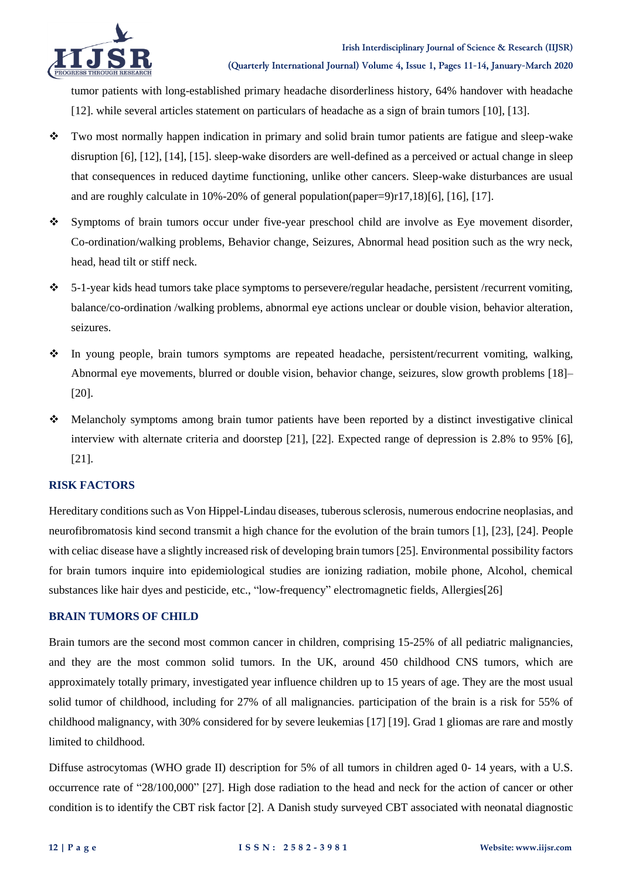

tumor patients with long-established primary headache disorderliness history, 64% handover with headache [12]. while several articles statement on particulars of headache as a sign of brain tumors [10], [13].

- Two most normally happen indication in primary and solid brain tumor patients are fatigue and sleep-wake disruption [6], [12], [14], [15]. sleep-wake disorders are well-defined as a perceived or actual change in sleep that consequences in reduced daytime functioning, unlike other cancers. Sleep-wake disturbances are usual and are roughly calculate in 10%-20% of general population(paper=9)r17,18)[6], [16], [17].
- Symptoms of brain tumors occur under five-year preschool child are involve as Eye movement disorder, Co-ordination/walking problems, Behavior change, Seizures, Abnormal head position such as the wry neck, head, head tilt or stiff neck.
- 5-1-year kids head tumors take place symptoms to persevere/regular headache, persistent /recurrent vomiting, balance/co-ordination /walking problems, abnormal eye actions unclear or double vision, behavior alteration, seizures.
- In young people, brain tumors symptoms are repeated headache, persistent/recurrent vomiting, walking, Abnormal eye movements, blurred or double vision, behavior change, seizures, slow growth problems [18]– [20].
- Melancholy symptoms among brain tumor patients have been reported by a distinct investigative clinical interview with alternate criteria and doorstep [21], [22]. Expected range of depression is 2.8% to 95% [6], [21].

## **RISK FACTORS**

Hereditary conditions such as Von Hippel-Lindau diseases, tuberous sclerosis, numerous endocrine neoplasias, and neurofibromatosis kind second transmit a high chance for the evolution of the brain tumors [1], [23], [24]. People with celiac disease have a slightly increased risk of developing brain tumors [25]. Environmental possibility factors for brain tumors inquire into epidemiological studies are ionizing radiation, mobile phone, Alcohol, chemical substances like hair dyes and pesticide, etc., "low-frequency" electromagnetic fields, Allergies[26]

## **BRAIN TUMORS OF CHILD**

Brain tumors are the second most common cancer in children, comprising 15-25% of all pediatric malignancies, and they are the most common solid tumors. In the UK, around 450 childhood CNS tumors, which are approximately totally primary, investigated year influence children up to 15 years of age. They are the most usual solid tumor of childhood, including for 27% of all malignancies. participation of the brain is a risk for 55% of childhood malignancy, with 30% considered for by severe leukemias [17] [19]. Grad 1 gliomas are rare and mostly limited to childhood.

Diffuse astrocytomas (WHO grade II) description for 5% of all tumors in children aged 0- 14 years, with a U.S. occurrence rate of "28/100,000" [27]. High dose radiation to the head and neck for the action of cancer or other condition is to identify the CBT risk factor [2]. A Danish study surveyed CBT associated with neonatal diagnostic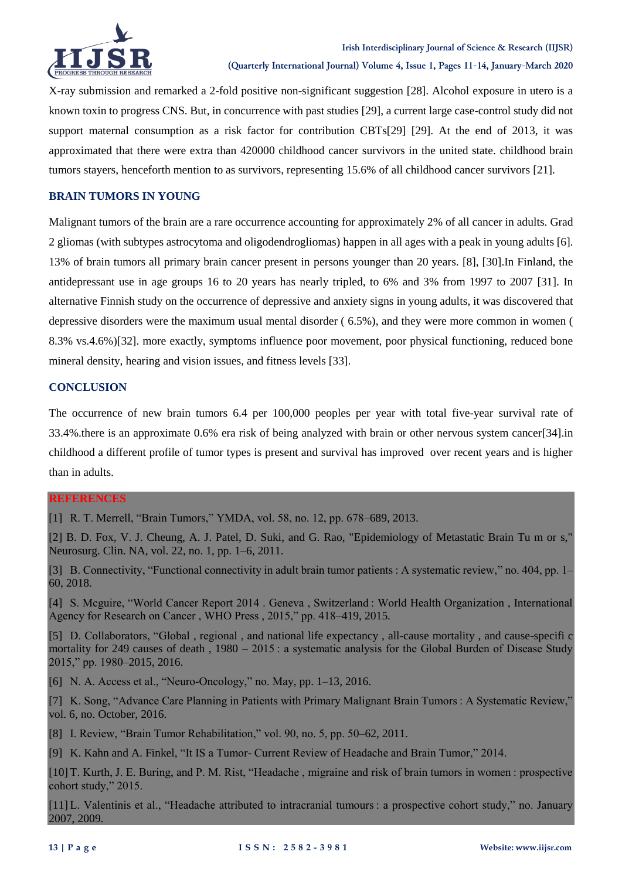

X-ray submission and remarked a 2-fold positive non-significant suggestion [28]. Alcohol exposure in utero is a known toxin to progress CNS. But, in concurrence with past studies [29], a current large case-control study did not support maternal consumption as a risk factor for contribution CBTs[29] [29]. At the end of 2013, it was approximated that there were extra than 420000 childhood cancer survivors in the united state. childhood brain tumors stayers, henceforth mention to as survivors, representing 15.6% of all childhood cancer survivors [21].

## **BRAIN TUMORS IN YOUNG**

Malignant tumors of the brain are a rare occurrence accounting for approximately 2% of all cancer in adults. Grad 2 gliomas (with subtypes astrocytoma and oligodendrogliomas) happen in all ages with a peak in young adults [6]. 13% of brain tumors all primary brain cancer present in persons younger than 20 years. [8], [30].In Finland, the antidepressant use in age groups 16 to 20 years has nearly tripled, to 6% and 3% from 1997 to 2007 [31]. In alternative Finnish study on the occurrence of depressive and anxiety signs in young adults, it was discovered that depressive disorders were the maximum usual mental disorder ( 6.5%), and they were more common in women ( 8.3% vs.4.6%)[32]. more exactly, symptoms influence poor movement, poor physical functioning, reduced bone mineral density, hearing and vision issues, and fitness levels [33].

### **CONCLUSION**

The occurrence of new brain tumors 6.4 per 100,000 peoples per year with total five-year survival rate of 33.4%.there is an approximate 0.6% era risk of being analyzed with brain or other nervous system cancer[34].in childhood a different profile of tumor types is present and survival has improved over recent years and is higher than in adults.

#### **REFERENCES**

[1] R. T. Merrell, "Brain Tumors," YMDA, vol. 58, no. 12, pp. 678–689, 2013.

[2] B. D. Fox, V. J. Cheung, A. J. Patel, D. Suki, and G. Rao, "Epidemiology of Metastatic Brain Tu m or s," Neurosurg. Clin. NA, vol. 22, no. 1, pp. 1–6, 2011.

[3] B. Connectivity, "Functional connectivity in adult brain tumor patients : A systematic review," no. 404, pp. 1– 60, 2018.

[4] S. Mcguire, "World Cancer Report 2014 . Geneva , Switzerland : World Health Organization , International Agency for Research on Cancer , WHO Press , 2015," pp. 418–419, 2015.

[5] D. Collaborators, "Global , regional , and national life expectancy , all-cause mortality , and cause-specifi c mortality for 249 causes of death , 1980 – 2015 : a systematic analysis for the Global Burden of Disease Study 2015," pp. 1980–2015, 2016.

[6] N. A. Access et al., "Neuro-Oncology," no. May, pp. 1–13, 2016.

[7] K. Song, "Advance Care Planning in Patients with Primary Malignant Brain Tumors : A Systematic Review," vol. 6, no. October, 2016.

[8] I. Review, "Brain Tumor Rehabilitation," vol. 90, no. 5, pp. 50–62, 2011.

[9] K. Kahn and A. Finkel, "It IS a Tumor- Current Review of Headache and Brain Tumor," 2014.

[10] T. Kurth, J. E. Buring, and P. M. Rist, "Headache , migraine and risk of brain tumors in women : prospective cohort study," 2015.

[11] L. Valentinis et al., "Headache attributed to intracranial tumours : a prospective cohort study," no. January 2007, 2009.